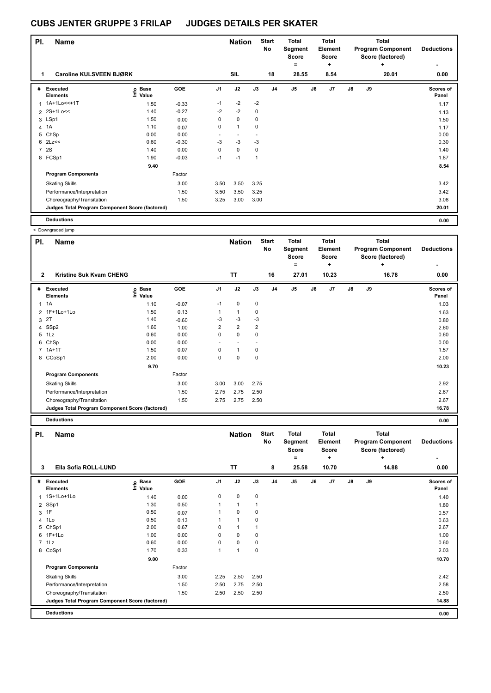| PI.            | <b>Name</b>                                     |                            |         |                          | <b>Nation</b>            |      | <b>Start</b><br>No | <b>Total</b><br>Segment<br><b>Score</b><br>۰ |    | <b>Total</b><br>Element<br><b>Score</b><br>÷ |               |    | Total<br><b>Program Component</b><br>Score (factored)<br>٠ | <b>Deductions</b>  |
|----------------|-------------------------------------------------|----------------------------|---------|--------------------------|--------------------------|------|--------------------|----------------------------------------------|----|----------------------------------------------|---------------|----|------------------------------------------------------------|--------------------|
| 1              | <b>Caroline KULSVEEN BJØRK</b>                  |                            |         |                          | <b>SIL</b>               |      | 18                 | 28.55                                        |    | 8.54                                         |               |    | 20.01                                                      | 0.00               |
| #              | Executed<br><b>Elements</b>                     | <b>Base</b><br>١m<br>Value | GOE     | J <sub>1</sub>           | J2                       | J3   | J <sub>4</sub>     | J <sub>5</sub>                               | J6 | J <sub>7</sub>                               | $\mathsf{J}8$ | J9 |                                                            | Scores of<br>Panel |
| 1              | 1A+1Lo<<+1T                                     | 1.50                       | $-0.33$ | $-1$                     | $-2$                     | $-2$ |                    |                                              |    |                                              |               |    |                                                            | 1.17               |
|                | 2 2S+1Lo<<                                      | 1.40                       | $-0.27$ | $-2$                     | $-2$                     | 0    |                    |                                              |    |                                              |               |    |                                                            | 1.13               |
|                | 3 LSp1                                          | 1.50                       | 0.00    | 0                        | $\mathbf 0$              | 0    |                    |                                              |    |                                              |               |    |                                                            | 1.50               |
|                | 4 1A                                            | 1.10                       | 0.07    | 0                        | $\mathbf{1}$             | 0    |                    |                                              |    |                                              |               |    |                                                            | 1.17               |
| 5              | ChSp                                            | 0.00                       | 0.00    | $\overline{\phantom{a}}$ | $\overline{\phantom{a}}$ |      |                    |                                              |    |                                              |               |    |                                                            | 0.00               |
|                | $6$ 2Lz <<                                      | 0.60                       | $-0.30$ | $-3$                     | $-3$                     | -3   |                    |                                              |    |                                              |               |    |                                                            | 0.30               |
| $\overline{7}$ | 2S                                              | 1.40                       | 0.00    | 0                        | 0                        | 0    |                    |                                              |    |                                              |               |    |                                                            | 1.40               |
|                | 8 FCSp1                                         | 1.90                       | $-0.03$ | $-1$                     | $-1$                     | 1    |                    |                                              |    |                                              |               |    |                                                            | 1.87               |
|                |                                                 | 9.40                       |         |                          |                          |      |                    |                                              |    |                                              |               |    |                                                            | 8.54               |
|                | <b>Program Components</b>                       |                            | Factor  |                          |                          |      |                    |                                              |    |                                              |               |    |                                                            |                    |
|                | <b>Skating Skills</b>                           |                            | 3.00    | 3.50                     | 3.50                     | 3.25 |                    |                                              |    |                                              |               |    |                                                            | 3.42               |
|                | Performance/Interpretation                      |                            | 1.50    | 3.50                     | 3.50                     | 3.25 |                    |                                              |    |                                              |               |    |                                                            | 3.42               |
|                | Choreography/Transitation                       |                            | 1.50    | 3.25                     | 3.00                     | 3.00 |                    |                                              |    |                                              |               |    |                                                            | 3.08               |
|                | Judges Total Program Component Score (factored) |                            |         |                          |                          |      |                    |                                              |    |                                              |               |    |                                                            | 20.01              |
|                | <b>Deductions</b>                               |                            |         |                          |                          |      |                    |                                              |    |                                              |               |    |                                                            | 0.00               |

< Downgraded jump

| PI.            | <b>Name</b>                                     |                                  |            |                | <b>Nation</b>  |                | <b>Start</b><br>No | <b>Total</b><br>Segment<br><b>Score</b><br>$=$ |    | <b>Total</b><br>Element<br>Score<br>٠ |               |    | <b>Total</b><br><b>Program Component</b><br>Score (factored)<br>÷ | <b>Deductions</b><br>٠ |
|----------------|-------------------------------------------------|----------------------------------|------------|----------------|----------------|----------------|--------------------|------------------------------------------------|----|---------------------------------------|---------------|----|-------------------------------------------------------------------|------------------------|
| $\mathbf{2}$   | <b>Kristine Suk Kvam CHENG</b>                  |                                  |            |                | <b>TT</b>      |                | 16                 | 27.01                                          |    | 10.23                                 |               |    | 16.78                                                             | 0.00                   |
| #              | Executed<br><b>Elements</b>                     | <b>Base</b><br>e Base<br>⊆ Value | <b>GOE</b> | J <sub>1</sub> | J2             | J3             | J <sub>4</sub>     | J <sub>5</sub>                                 | J6 | J7                                    | $\mathsf{J}8$ | J9 |                                                                   | Scores of<br>Panel     |
| 1              | 1A                                              | 1.10                             | $-0.07$    | $-1$           | $\mathbf 0$    | 0              |                    |                                                |    |                                       |               |    |                                                                   | 1.03                   |
| $\overline{2}$ | 1F+1Lo+1Lo                                      | 1.50                             | 0.13       | 1              | $\mathbf{1}$   | 0              |                    |                                                |    |                                       |               |    |                                                                   | 1.63                   |
| 3              | 2T                                              | 1.40                             | $-0.60$    | -3             | $-3$           | -3             |                    |                                                |    |                                       |               |    |                                                                   | 0.80                   |
| 4              | SSp2                                            | 1.60                             | 1.00       | $\overline{2}$ | $\overline{2}$ | $\overline{2}$ |                    |                                                |    |                                       |               |    |                                                                   | 2.60                   |
| 5              | 1Lz                                             | 0.60                             | 0.00       | 0              | $\mathbf 0$    | 0              |                    |                                                |    |                                       |               |    |                                                                   | 0.60                   |
| 6              | ChSp                                            | 0.00                             | 0.00       | ٠              |                |                |                    |                                                |    |                                       |               |    |                                                                   | 0.00                   |
|                | 7 1A+1T                                         | 1.50                             | 0.07       | 0              | $\mathbf{1}$   | 0              |                    |                                                |    |                                       |               |    |                                                                   | 1.57                   |
|                | 8 CCoSp1                                        | 2.00                             | 0.00       | 0              | $\mathbf 0$    | $\mathbf 0$    |                    |                                                |    |                                       |               |    |                                                                   | 2.00                   |
|                |                                                 | 9.70                             |            |                |                |                |                    |                                                |    |                                       |               |    |                                                                   | 10.23                  |
|                | <b>Program Components</b>                       |                                  | Factor     |                |                |                |                    |                                                |    |                                       |               |    |                                                                   |                        |
|                | <b>Skating Skills</b>                           |                                  | 3.00       | 3.00           | 3.00           | 2.75           |                    |                                                |    |                                       |               |    |                                                                   | 2.92                   |
|                | Performance/Interpretation                      |                                  | 1.50       | 2.75           | 2.75           | 2.50           |                    |                                                |    |                                       |               |    |                                                                   | 2.67                   |
|                | Choreography/Transitation                       |                                  | 1.50       | 2.75           | 2.75           | 2.50           |                    |                                                |    |                                       |               |    |                                                                   | 2.67                   |
|                | Judges Total Program Component Score (factored) |                                  |            |                |                |                |                    |                                                |    |                                       |               |    |                                                                   | 16.78                  |
|                | <b>Deductions</b>                               |                                  |            |                |                |                |                    |                                                |    |                                       |               |    |                                                                   | 0.00                   |

| PI. | <b>Name</b>                                     |                   |        |                | <b>Nation</b> |             | <b>Start</b><br>No | <b>Total</b><br>Segment<br><b>Score</b> |    | <b>Total</b><br>Element<br><b>Score</b> |               |    | <b>Total</b><br><b>Program Component</b><br>Score (factored) | <b>Deductions</b>  |
|-----|-------------------------------------------------|-------------------|--------|----------------|---------------|-------------|--------------------|-----------------------------------------|----|-----------------------------------------|---------------|----|--------------------------------------------------------------|--------------------|
| 3   | Ella Sofia ROLL-LUND                            |                   |        |                | <b>TT</b>     |             | 8                  | ۰<br>25.58                              |    | ÷<br>10.70                              |               |    | ÷<br>14.88                                                   | ۰<br>0.00          |
| #   | Executed<br><b>Elements</b>                     | e Base<br>⊆ Value | GOE    | J <sub>1</sub> | J2            | J3          | J <sub>4</sub>     | J <sub>5</sub>                          | J6 | J7                                      | $\mathsf{J}8$ | J9 |                                                              | Scores of<br>Panel |
|     | 1 1S+1Lo+1Lo                                    | 1.40              | 0.00   | 0              | $\mathbf 0$   | $\mathbf 0$ |                    |                                         |    |                                         |               |    |                                                              | 1.40               |
|     | 2 SSp1                                          | 1.30              | 0.50   |                | $\mathbf{1}$  | 1           |                    |                                         |    |                                         |               |    |                                                              | 1.80               |
|     | $3$ 1F                                          | 0.50              | 0.07   |                | $\mathbf 0$   | 0           |                    |                                         |    |                                         |               |    |                                                              | 0.57               |
|     | 4 1Lo                                           | 0.50              | 0.13   |                | 1             | 0           |                    |                                         |    |                                         |               |    |                                                              | 0.63               |
| 5   | ChSp1                                           | 2.00              | 0.67   | 0              | $\mathbf 1$   | 1           |                    |                                         |    |                                         |               |    |                                                              | 2.67               |
|     | 6 1F+1Lo                                        | 1.00              | 0.00   | 0              | 0             | 0           |                    |                                         |    |                                         |               |    |                                                              | 1.00               |
|     | $7$ 1 Lz                                        | 0.60              | 0.00   | 0              | $\mathbf 0$   | 0           |                    |                                         |    |                                         |               |    |                                                              | 0.60               |
|     | 8 CoSp1                                         | 1.70              | 0.33   | 1              | 1             | 0           |                    |                                         |    |                                         |               |    |                                                              | 2.03               |
|     |                                                 | 9.00              |        |                |               |             |                    |                                         |    |                                         |               |    |                                                              | 10.70              |
|     | <b>Program Components</b>                       |                   | Factor |                |               |             |                    |                                         |    |                                         |               |    |                                                              |                    |
|     | <b>Skating Skills</b>                           |                   | 3.00   | 2.25           | 2.50          | 2.50        |                    |                                         |    |                                         |               |    |                                                              | 2.42               |
|     | Performance/Interpretation                      |                   | 1.50   | 2.50           | 2.75          | 2.50        |                    |                                         |    |                                         |               |    |                                                              | 2.58               |
|     | Choreography/Transitation                       |                   | 1.50   | 2.50           | 2.50          | 2.50        |                    |                                         |    |                                         |               |    |                                                              | 2.50               |
|     | Judges Total Program Component Score (factored) |                   |        |                |               |             |                    |                                         |    |                                         |               |    |                                                              | 14.88              |
|     | <b>Deductions</b>                               |                   |        |                |               |             |                    |                                         |    |                                         |               |    |                                                              | 0.00               |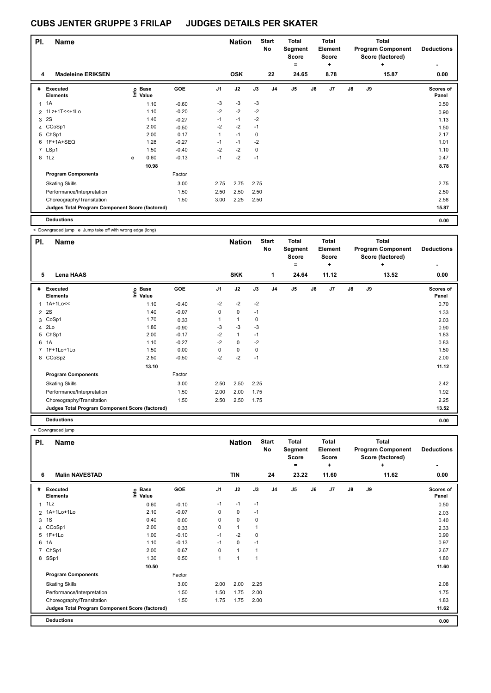| PI. | <b>Name</b>                                     |   |                            |         |                | <b>Nation</b> |      | <b>Start</b><br>No | <b>Total</b><br>Segment<br><b>Score</b> |    | <b>Total</b><br>Element<br><b>Score</b> |               |    | <b>Total</b><br><b>Program Component</b><br>Score (factored) | <b>Deductions</b>         |
|-----|-------------------------------------------------|---|----------------------------|---------|----------------|---------------|------|--------------------|-----------------------------------------|----|-----------------------------------------|---------------|----|--------------------------------------------------------------|---------------------------|
| 4   | <b>Madeleine ERIKSEN</b>                        |   |                            |         |                | <b>OSK</b>    |      | 22                 | $=$<br>24.65                            |    | ٠<br>8.78                               |               |    | ٠<br>15.87                                                   | ۰<br>0.00                 |
| #   | Executed<br><b>Elements</b>                     |   | e Base<br>E Value<br>Value | GOE     | J <sub>1</sub> | J2            | J3   | J4                 | J5                                      | J6 | J7                                      | $\mathsf{J}8$ | J9 |                                                              | <b>Scores of</b><br>Panel |
| 1   | 1A                                              |   | 1.10                       | $-0.60$ | $-3$           | $-3$          | $-3$ |                    |                                         |    |                                         |               |    |                                                              | 0.50                      |
| 2   | 1Lz+1T<<+1Lo                                    |   | 1.10                       | $-0.20$ | $-2$           | $-2$          | $-2$ |                    |                                         |    |                                         |               |    |                                                              | 0.90                      |
| 3   | 2S                                              |   | 1.40                       | $-0.27$ | $-1$           | $-1$          | $-2$ |                    |                                         |    |                                         |               |    |                                                              | 1.13                      |
|     | 4 CCoSp1                                        |   | 2.00                       | $-0.50$ | $-2$           | $-2$          | $-1$ |                    |                                         |    |                                         |               |    |                                                              | 1.50                      |
| 5   | ChSp1                                           |   | 2.00                       | 0.17    | 1              | $-1$          | 0    |                    |                                         |    |                                         |               |    |                                                              | 2.17                      |
|     | 6 1F+1A+SEQ                                     |   | 1.28                       | $-0.27$ | $-1$           | $-1$          | $-2$ |                    |                                         |    |                                         |               |    |                                                              | 1.01                      |
|     | 7 LSp1                                          |   | 1.50                       | $-0.40$ | $-2$           | $-2$          | 0    |                    |                                         |    |                                         |               |    |                                                              | 1.10                      |
|     | 8 1Lz                                           | e | 0.60                       | $-0.13$ | $-1$           | $-2$          | $-1$ |                    |                                         |    |                                         |               |    |                                                              | 0.47                      |
|     |                                                 |   | 10.98                      |         |                |               |      |                    |                                         |    |                                         |               |    |                                                              | 8.78                      |
|     | <b>Program Components</b>                       |   |                            | Factor  |                |               |      |                    |                                         |    |                                         |               |    |                                                              |                           |
|     | <b>Skating Skills</b>                           |   |                            | 3.00    | 2.75           | 2.75          | 2.75 |                    |                                         |    |                                         |               |    |                                                              | 2.75                      |
|     | Performance/Interpretation                      |   |                            | 1.50    | 2.50           | 2.50          | 2.50 |                    |                                         |    |                                         |               |    |                                                              | 2.50                      |
|     | Choreography/Transitation                       |   |                            | 1.50    | 3.00           | 2.25          | 2.50 |                    |                                         |    |                                         |               |    |                                                              | 2.58                      |
|     | Judges Total Program Component Score (factored) |   |                            |         |                |               |      |                    |                                         |    |                                         |               |    |                                                              | 15.87                     |
|     | <b>Deductions</b>                               |   |                            |         |                |               |      |                    |                                         |    |                                         |               |    |                                                              | 0.00                      |

< Downgraded jump e Jump take off with wrong edge (long)

| PI. | <b>Name</b>                                     |                   |         |      | <b>Nation</b> |      | <b>Start</b><br>No | Total<br>Segment<br><b>Score</b><br>= |    | <b>Total</b><br>Element<br><b>Score</b><br>٠ |               |    | Total<br><b>Program Component</b><br>Score (factored)<br>÷ | <b>Deductions</b>  |
|-----|-------------------------------------------------|-------------------|---------|------|---------------|------|--------------------|---------------------------------------|----|----------------------------------------------|---------------|----|------------------------------------------------------------|--------------------|
| 5   | <b>Lena HAAS</b>                                |                   |         |      | <b>SKK</b>    |      | 1                  | 24.64                                 |    | 11.12                                        |               |    | 13.52                                                      | 0.00               |
| #   | Executed<br><b>Elements</b>                     | e Base<br>⊆ Value | GOE     | J1   | J2            | J3   | J <sub>4</sub>     | J <sub>5</sub>                        | J6 | J <sub>7</sub>                               | $\mathsf{J}8$ | J9 |                                                            | Scores of<br>Panel |
|     | 1 1A+1Lo<<                                      | 1.10              | $-0.40$ | $-2$ | $-2$          | $-2$ |                    |                                       |    |                                              |               |    |                                                            | 0.70               |
|     | 2 2 S                                           | 1.40              | $-0.07$ | 0    | $\mathbf 0$   | $-1$ |                    |                                       |    |                                              |               |    |                                                            | 1.33               |
|     | 3 CoSp1                                         | 1.70              | 0.33    |      | $\mathbf{1}$  | 0    |                    |                                       |    |                                              |               |    |                                                            | 2.03               |
|     | 4 2Lo                                           | 1.80              | $-0.90$ | -3   | $-3$          | -3   |                    |                                       |    |                                              |               |    |                                                            | 0.90               |
|     | 5 ChSp1                                         | 2.00              | $-0.17$ | $-2$ | $\mathbf{1}$  | $-1$ |                    |                                       |    |                                              |               |    |                                                            | 1.83               |
|     | 6 1A                                            | 1.10              | $-0.27$ | $-2$ | $\mathbf 0$   | $-2$ |                    |                                       |    |                                              |               |    |                                                            | 0.83               |
|     | 7 1F+1Lo+1Lo                                    | 1.50              | 0.00    | 0    | $\pmb{0}$     | 0    |                    |                                       |    |                                              |               |    |                                                            | 1.50               |
|     | 8 CCoSp2                                        | 2.50              | $-0.50$ | $-2$ | $-2$          | $-1$ |                    |                                       |    |                                              |               |    |                                                            | 2.00               |
|     |                                                 | 13.10             |         |      |               |      |                    |                                       |    |                                              |               |    |                                                            | 11.12              |
|     | <b>Program Components</b>                       |                   | Factor  |      |               |      |                    |                                       |    |                                              |               |    |                                                            |                    |
|     | <b>Skating Skills</b>                           |                   | 3.00    | 2.50 | 2.50          | 2.25 |                    |                                       |    |                                              |               |    |                                                            | 2.42               |
|     | Performance/Interpretation                      |                   | 1.50    | 2.00 | 2.00          | 1.75 |                    |                                       |    |                                              |               |    |                                                            | 1.92               |
|     | Choreography/Transitation                       |                   | 1.50    | 2.50 | 2.50          | 1.75 |                    |                                       |    |                                              |               |    |                                                            | 2.25               |
|     | Judges Total Program Component Score (factored) |                   |         |      |               |      |                    |                                       |    |                                              |               |    |                                                            | 13.52              |
|     | <b>Deductions</b>                               |                   |         |      |               |      |                    |                                       |    |                                              |               |    |                                                            | 0.00               |

|                | < Downgraded jump                               |                              |         |                |                             |             |                                 |                                                  |    |                                                       |    |    |                                                                            |                                |
|----------------|-------------------------------------------------|------------------------------|---------|----------------|-----------------------------|-------------|---------------------------------|--------------------------------------------------|----|-------------------------------------------------------|----|----|----------------------------------------------------------------------------|--------------------------------|
| PI.<br>6       | <b>Name</b><br><b>Malin NAVESTAD</b>            |                              |         |                | <b>Nation</b><br><b>TIN</b> |             | <b>Start</b><br><b>No</b><br>24 | Total<br>Segment<br><b>Score</b><br>$=$<br>23.22 |    | <b>Total</b><br>Element<br><b>Score</b><br>٠<br>11.60 |    |    | <b>Total</b><br><b>Program Component</b><br>Score (factored)<br>÷<br>11.62 | <b>Deductions</b><br>٠<br>0.00 |
|                |                                                 |                              |         |                |                             |             |                                 |                                                  |    |                                                       |    |    |                                                                            |                                |
| #              | <b>Executed</b><br><b>Elements</b>              | <b>Base</b><br>١nfo<br>Value | GOE     | J <sub>1</sub> | J2                          | J3          | J <sub>4</sub>                  | J <sub>5</sub>                                   | J6 | J <sub>7</sub>                                        | J8 | J9 |                                                                            | <b>Scores of</b><br>Panel      |
|                | $1$ 1 Lz                                        | 0.60                         | $-0.10$ | $-1$           | $-1$                        | $-1$        |                                 |                                                  |    |                                                       |    |    |                                                                            | 0.50                           |
|                | 2 1A+1Lo+1Lo                                    | 2.10                         | $-0.07$ | 0              | 0                           | $-1$        |                                 |                                                  |    |                                                       |    |    |                                                                            | 2.03                           |
|                | 3 1 S                                           | 0.40                         | 0.00    | 0              | 0                           | 0           |                                 |                                                  |    |                                                       |    |    |                                                                            | 0.40                           |
|                | 4 CCoSp1                                        | 2.00                         | 0.33    | $\Omega$       | 1                           |             |                                 |                                                  |    |                                                       |    |    |                                                                            | 2.33                           |
|                | 5 1F+1Lo                                        | 1.00                         | $-0.10$ | $-1$           | $-2$                        | $\mathbf 0$ |                                 |                                                  |    |                                                       |    |    |                                                                            | 0.90                           |
|                | 6 1A                                            | 1.10                         | $-0.13$ | $-1$           | 0                           | $-1$        |                                 |                                                  |    |                                                       |    |    |                                                                            | 0.97                           |
| $\overline{7}$ | ChSp1                                           | 2.00                         | 0.67    | 0              | $\mathbf{1}$                | 1           |                                 |                                                  |    |                                                       |    |    |                                                                            | 2.67                           |
|                | 8 SSp1                                          | 1.30                         | 0.50    | 1              | 1                           | 1           |                                 |                                                  |    |                                                       |    |    |                                                                            | 1.80                           |
|                |                                                 | 10.50                        |         |                |                             |             |                                 |                                                  |    |                                                       |    |    |                                                                            | 11.60                          |
|                | <b>Program Components</b>                       |                              | Factor  |                |                             |             |                                 |                                                  |    |                                                       |    |    |                                                                            |                                |
|                | <b>Skating Skills</b>                           |                              | 3.00    | 2.00           | 2.00                        | 2.25        |                                 |                                                  |    |                                                       |    |    |                                                                            | 2.08                           |
|                | Performance/Interpretation                      |                              | 1.50    | 1.50           | 1.75                        | 2.00        |                                 |                                                  |    |                                                       |    |    |                                                                            | 1.75                           |
|                | Choreography/Transitation                       |                              | 1.50    | 1.75           | 1.75                        | 2.00        |                                 |                                                  |    |                                                       |    |    |                                                                            | 1.83                           |
|                | Judges Total Program Component Score (factored) |                              |         |                |                             |             |                                 |                                                  |    |                                                       |    |    |                                                                            | 11.62                          |
|                | <b>Deductions</b>                               |                              |         |                |                             |             |                                 |                                                  |    |                                                       |    |    |                                                                            | 0.00                           |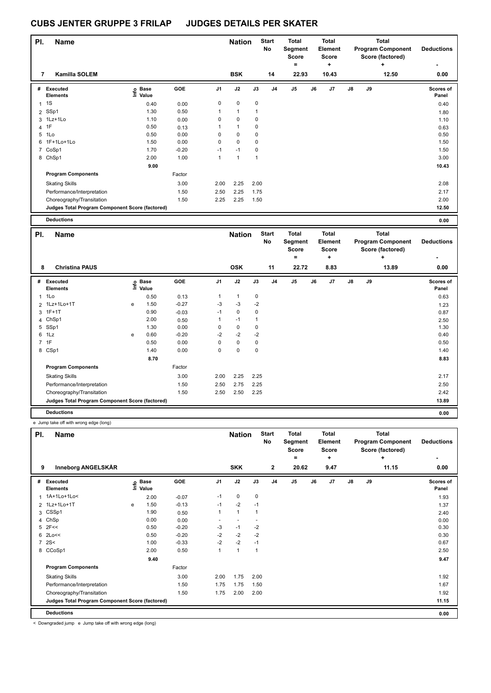| PI.            | Name                                            |                            |         |                | <b>Nation</b> |              | <b>Start</b><br>No | <b>Total</b><br>Segment<br><b>Score</b><br>$\equiv$ |    | <b>Total</b><br>Element<br><b>Score</b><br>٠ |               |    | <b>Total</b><br><b>Program Component</b><br>Score (factored)<br>$\ddot{}$ | <b>Deductions</b>         |
|----------------|-------------------------------------------------|----------------------------|---------|----------------|---------------|--------------|--------------------|-----------------------------------------------------|----|----------------------------------------------|---------------|----|---------------------------------------------------------------------------|---------------------------|
| 7              | Kamilla SOLEM                                   |                            |         |                | <b>BSK</b>    |              | 14                 | 22.93                                               |    | 10.43                                        |               |    | 12.50                                                                     | 0.00                      |
| #              | <b>Executed</b><br><b>Elements</b>              | <b>Base</b><br>١m<br>Value | GOE     | J <sub>1</sub> | J2            | J3           | J4                 | J <sub>5</sub>                                      | J6 | J7                                           | $\mathsf{J}8$ | J9 |                                                                           | <b>Scores of</b><br>Panel |
| 1              | 1S                                              | 0.40                       | 0.00    | 0              | $\mathbf 0$   | 0            |                    |                                                     |    |                                              |               |    |                                                                           | 0.40                      |
| 2              | SSp1                                            | 1.30                       | 0.50    | 1              | $\mathbf{1}$  | 1            |                    |                                                     |    |                                              |               |    |                                                                           | 1.80                      |
|                | 3 1Lz+1Lo                                       | 1.10                       | 0.00    | 0              | $\mathbf 0$   | 0            |                    |                                                     |    |                                              |               |    |                                                                           | 1.10                      |
| $\overline{4}$ | 1F                                              | 0.50                       | 0.13    | 1              | $\mathbf{1}$  | 0            |                    |                                                     |    |                                              |               |    |                                                                           | 0.63                      |
| 5              | 1Lo                                             | 0.50                       | 0.00    | 0              | 0             | 0            |                    |                                                     |    |                                              |               |    |                                                                           | 0.50                      |
| 6              | 1F+1Lo+1Lo                                      | 1.50                       | 0.00    | 0              | $\mathbf 0$   | 0            |                    |                                                     |    |                                              |               |    |                                                                           | 1.50                      |
| $\overline{7}$ | CoSp1                                           | 1.70                       | $-0.20$ | $-1$           | $-1$          | 0            |                    |                                                     |    |                                              |               |    |                                                                           | 1.50                      |
|                | 8 ChSp1                                         | 2.00                       | 1.00    | 1              | $\mathbf{1}$  | $\mathbf{1}$ |                    |                                                     |    |                                              |               |    |                                                                           | 3.00                      |
|                |                                                 | 9.00                       |         |                |               |              |                    |                                                     |    |                                              |               |    |                                                                           | 10.43                     |
|                | <b>Program Components</b>                       |                            | Factor  |                |               |              |                    |                                                     |    |                                              |               |    |                                                                           |                           |
|                | <b>Skating Skills</b>                           |                            | 3.00    | 2.00           | 2.25          | 2.00         |                    |                                                     |    |                                              |               |    |                                                                           | 2.08                      |
|                | Performance/Interpretation                      |                            | 1.50    | 2.50           | 2.25          | 1.75         |                    |                                                     |    |                                              |               |    |                                                                           | 2.17                      |
|                | Choreography/Transitation                       |                            | 1.50    | 2.25           | 2.25          | 1.50         |                    |                                                     |    |                                              |               |    |                                                                           | 2.00                      |
|                | Judges Total Program Component Score (factored) |                            |         |                |               |              |                    |                                                     |    |                                              |               |    |                                                                           | 12.50                     |
|                | <b>Deductions</b>                               |                            |         |                |               |              |                    |                                                     |    |                                              |               |    |                                                                           | 0.00                      |

| PI. | <b>Name</b>                                     |   |                   |         |                | <b>Nation</b> |      | <b>Start</b><br>No | Total<br>Segment<br><b>Score</b><br>۰ |    | <b>Total</b><br>Element<br><b>Score</b><br>÷ |               |    | <b>Total</b><br><b>Program Component</b><br>Score (factored)<br>٠ | <b>Deductions</b>  |
|-----|-------------------------------------------------|---|-------------------|---------|----------------|---------------|------|--------------------|---------------------------------------|----|----------------------------------------------|---------------|----|-------------------------------------------------------------------|--------------------|
| 8   | <b>Christina PAUS</b>                           |   |                   |         |                | <b>OSK</b>    |      | 11                 | 22.72                                 |    | 8.83                                         |               |    | 13.89                                                             | 0.00               |
| #   | <b>Executed</b><br><b>Elements</b>              |   | e Base<br>E Value | GOE     | J <sub>1</sub> | J2            | J3   | J <sub>4</sub>     | J <sub>5</sub>                        | J6 | J7                                           | $\mathsf{J}8$ | J9 |                                                                   | Scores of<br>Panel |
| 1   | 1Lo                                             |   | 0.50              | 0.13    | 1              | $\mathbf{1}$  | 0    |                    |                                       |    |                                              |               |    |                                                                   | 0.63               |
|     | 2 1Lz+1Lo+1T                                    | e | 1.50              | $-0.27$ | -3             | -3            | $-2$ |                    |                                       |    |                                              |               |    |                                                                   | 1.23               |
|     | 3 1F+1T                                         |   | 0.90              | $-0.03$ | $-1$           | 0             | 0    |                    |                                       |    |                                              |               |    |                                                                   | 0.87               |
| 4   | ChSp1                                           |   | 2.00              | 0.50    | 1              | $-1$          | 1    |                    |                                       |    |                                              |               |    |                                                                   | 2.50               |
|     | 5 SSp1                                          |   | 1.30              | 0.00    | 0              | $\mathbf 0$   | 0    |                    |                                       |    |                                              |               |    |                                                                   | 1.30               |
|     | 6 1Lz                                           | e | 0.60              | $-0.20$ | $-2$           | $-2$          | $-2$ |                    |                                       |    |                                              |               |    |                                                                   | 0.40               |
|     | 7 1F                                            |   | 0.50              | 0.00    | 0              | $\mathbf 0$   | 0    |                    |                                       |    |                                              |               |    |                                                                   | 0.50               |
|     | 8 CSp1                                          |   | 1.40              | 0.00    | 0              | $\mathbf 0$   | 0    |                    |                                       |    |                                              |               |    |                                                                   | 1.40               |
|     |                                                 |   | 8.70              |         |                |               |      |                    |                                       |    |                                              |               |    |                                                                   | 8.83               |
|     | <b>Program Components</b>                       |   |                   | Factor  |                |               |      |                    |                                       |    |                                              |               |    |                                                                   |                    |
|     | <b>Skating Skills</b>                           |   |                   | 3.00    | 2.00           | 2.25          | 2.25 |                    |                                       |    |                                              |               |    |                                                                   | 2.17               |
|     | Performance/Interpretation                      |   |                   | 1.50    | 2.50           | 2.75          | 2.25 |                    |                                       |    |                                              |               |    |                                                                   | 2.50               |
|     | Choreography/Transitation                       |   |                   | 1.50    | 2.50           | 2.50          | 2.25 |                    |                                       |    |                                              |               |    |                                                                   | 2.42               |
|     | Judges Total Program Component Score (factored) |   |                   |         |                |               |      |                    |                                       |    |                                              |               |    |                                                                   | 13.89              |
|     | <b>Deductions</b>                               |   |                   |         |                |               |      |                    |                                       |    |                                              |               |    |                                                                   | 0.00               |

e Jump take off with wrong edge (long)

| PI.            | <b>Name</b>                                     |   |                            |            |              | <b>Nation</b> |              | <b>Start</b><br><b>No</b> | Total<br>Segment<br><b>Score</b><br>$=$ |    | <b>Total</b><br>Element<br><b>Score</b><br>٠ |               |    | <b>Total</b><br><b>Program Component</b><br>Score (factored)<br>٠ | <b>Deductions</b>         |
|----------------|-------------------------------------------------|---|----------------------------|------------|--------------|---------------|--------------|---------------------------|-----------------------------------------|----|----------------------------------------------|---------------|----|-------------------------------------------------------------------|---------------------------|
| 9              | <b>Inneborg ANGELSKÅR</b>                       |   |                            |            |              | <b>SKK</b>    |              | $\overline{2}$            | 20.62                                   |    | 9.47                                         |               |    | 11.15                                                             | 0.00                      |
| #              | <b>Executed</b><br><b>Elements</b>              |   | e Base<br>⊆ Value<br>Value | <b>GOE</b> | J1           | J2            | J3           | J <sub>4</sub>            | J <sub>5</sub>                          | J6 | J <sub>7</sub>                               | $\mathsf{J}8$ | J9 |                                                                   | <b>Scores of</b><br>Panel |
|                | 1A+1Lo+1Lo<                                     |   | 2.00                       | $-0.07$    | $-1$         | $\mathbf 0$   | $\mathbf 0$  |                           |                                         |    |                                              |               |    |                                                                   | 1.93                      |
|                | 2 1Lz+1Lo+1T                                    | e | 1.50                       | $-0.13$    | $-1$         | $-2$          | $-1$         |                           |                                         |    |                                              |               |    |                                                                   | 1.37                      |
| 3              | CSSp1                                           |   | 1.90                       | 0.50       | 1            | $\mathbf{1}$  | $\mathbf{1}$ |                           |                                         |    |                                              |               |    |                                                                   | 2.40                      |
| 4              | ChSp                                            |   | 0.00                       | 0.00       |              |               |              |                           |                                         |    |                                              |               |    |                                                                   | 0.00                      |
| 5              | 2F<<                                            |   | 0.50                       | $-0.20$    | $-3$         | $-1$          | $-2$         |                           |                                         |    |                                              |               |    |                                                                   | 0.30                      |
| 6              | 2Lo<<                                           |   | 0.50                       | $-0.20$    | $-2$         | $-2$          | $-2$         |                           |                                         |    |                                              |               |    |                                                                   | 0.30                      |
| $\overline{7}$ | 2S<                                             |   | 1.00                       | $-0.33$    | $-2$         | $-2$          | $-1$         |                           |                                         |    |                                              |               |    |                                                                   | 0.67                      |
| 8              | CCoSp1                                          |   | 2.00                       | 0.50       | $\mathbf{1}$ | $\mathbf{1}$  | $\mathbf{1}$ |                           |                                         |    |                                              |               |    |                                                                   | 2.50                      |
|                |                                                 |   | 9.40                       |            |              |               |              |                           |                                         |    |                                              |               |    |                                                                   | 9.47                      |
|                | <b>Program Components</b>                       |   |                            | Factor     |              |               |              |                           |                                         |    |                                              |               |    |                                                                   |                           |
|                | <b>Skating Skills</b>                           |   |                            | 3.00       | 2.00         | 1.75          | 2.00         |                           |                                         |    |                                              |               |    |                                                                   | 1.92                      |
|                | Performance/Interpretation                      |   |                            | 1.50       | 1.75         | 1.75          | 1.50         |                           |                                         |    |                                              |               |    |                                                                   | 1.67                      |
|                | Choreography/Transitation                       |   |                            | 1.50       | 1.75         | 2.00          | 2.00         |                           |                                         |    |                                              |               |    |                                                                   | 1.92                      |
|                | Judges Total Program Component Score (factored) |   |                            |            |              |               |              |                           |                                         |    |                                              |               |    |                                                                   | 11.15                     |
|                | <b>Deductions</b>                               |   |                            |            |              |               |              |                           |                                         |    |                                              |               |    |                                                                   | 0.00                      |

< Downgraded jump e Jump take off with wrong edge (long)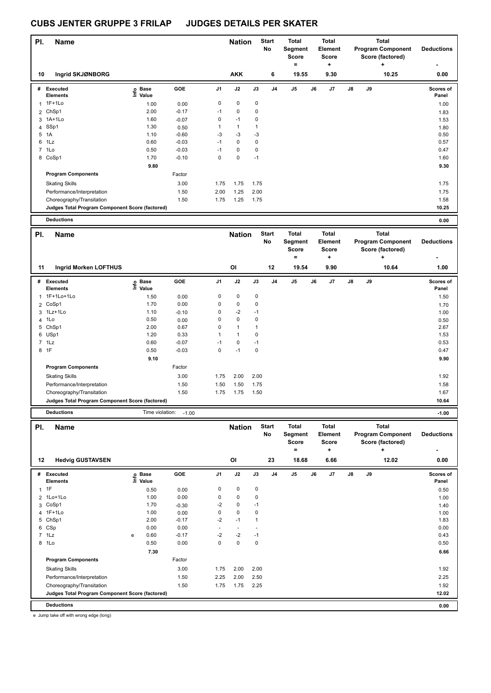| PI.            | <b>Name</b>                                     |                   |                 |                               | <b>Nation</b>                |                             | Start<br>No        | Total<br>Segment<br><b>Score</b>                    |    | <b>Total</b><br><b>Element</b><br><b>Score</b> |    |    | <b>Total</b><br><b>Program Component</b><br>Score (factored)      | <b>Deductions</b> |
|----------------|-------------------------------------------------|-------------------|-----------------|-------------------------------|------------------------------|-----------------------------|--------------------|-----------------------------------------------------|----|------------------------------------------------|----|----|-------------------------------------------------------------------|-------------------|
| 10             | Ingrid SKJØNBORG                                |                   |                 |                               | <b>AKK</b>                   |                             | 6                  | $=$<br>19.55                                        |    | ٠<br>9.30                                      |    |    | 10.25                                                             | 0.00              |
| #              | <b>Executed</b>                                 | e Base<br>E Value | GOE             | J1                            | J2                           | $\mathsf{J3}$               | J <sub>4</sub>     | J5                                                  | J6 | J7                                             | J8 | J9 |                                                                   | Scores of         |
|                | <b>Elements</b>                                 |                   |                 |                               |                              |                             |                    |                                                     |    |                                                |    |    |                                                                   | Panel             |
| 1              | $1F+1Lo$                                        | 1.00              | 0.00            | 0                             | $\mathbf 0$                  | $\pmb{0}$                   |                    |                                                     |    |                                                |    |    |                                                                   | 1.00              |
| $\overline{2}$ | ChSp1                                           | 2.00              | $-0.17$         | $-1$                          | $\pmb{0}$<br>$-1$            | $\pmb{0}$                   |                    |                                                     |    |                                                |    |    |                                                                   | 1.83              |
| 4              | 3 1A+1Lo<br>SSp1                                | 1.60<br>1.30      | $-0.07$<br>0.50 | $\pmb{0}$<br>$\overline{1}$   | $\mathbf{1}$                 | $\pmb{0}$<br>$\overline{1}$ |                    |                                                     |    |                                                |    |    |                                                                   | 1.53<br>1.80      |
|                | 5 1A                                            | 1.10              | $-0.60$         | -3                            | $-3$                         | $-3$                        |                    |                                                     |    |                                                |    |    |                                                                   | 0.50              |
| 6              | 1Lz                                             | 0.60              | $-0.03$         | $-1$                          | $\mathbf 0$                  | $\pmb{0}$                   |                    |                                                     |    |                                                |    |    |                                                                   | 0.57              |
|                | 7 1Lo                                           | 0.50              | $-0.03$         | $-1$                          | 0                            | $\pmb{0}$                   |                    |                                                     |    |                                                |    |    |                                                                   | 0.47              |
|                | 8 CoSp1                                         | 1.70              | $-0.10$         | $\mathbf 0$                   | $\pmb{0}$                    | $-1$                        |                    |                                                     |    |                                                |    |    |                                                                   | 1.60              |
|                |                                                 | 9.80              |                 |                               |                              |                             |                    |                                                     |    |                                                |    |    |                                                                   | 9.30              |
|                | <b>Program Components</b>                       |                   | Factor          |                               |                              |                             |                    |                                                     |    |                                                |    |    |                                                                   |                   |
|                | <b>Skating Skills</b>                           |                   | 3.00            | 1.75                          | 1.75                         | 1.75                        |                    |                                                     |    |                                                |    |    |                                                                   | 1.75              |
|                | Performance/Interpretation                      |                   | 1.50            | 2.00                          | 1.25                         | 2.00                        |                    |                                                     |    |                                                |    |    |                                                                   | 1.75              |
|                | Choreography/Transitation                       |                   | 1.50            | 1.75                          | 1.25                         | 1.75                        |                    |                                                     |    |                                                |    |    |                                                                   | 1.58              |
|                | Judges Total Program Component Score (factored) |                   |                 |                               |                              |                             |                    |                                                     |    |                                                |    |    |                                                                   | 10.25             |
|                | <b>Deductions</b>                               |                   |                 |                               |                              |                             |                    |                                                     |    |                                                |    |    |                                                                   | 0.00              |
|                |                                                 |                   |                 |                               |                              |                             |                    |                                                     |    |                                                |    |    |                                                                   |                   |
| PI.            | <b>Name</b>                                     |                   |                 |                               | <b>Nation</b>                |                             | <b>Start</b><br>No | <b>Total</b><br>Segment<br><b>Score</b><br>$\equiv$ |    | <b>Total</b><br><b>Element</b><br><b>Score</b> |    |    | <b>Total</b><br><b>Program Component</b><br>Score (factored)      | <b>Deductions</b> |
| 11             | Ingrid Morken LOFTHUS                           |                   |                 |                               | OI                           |                             | 12                 | 19.54                                               |    | ۰.<br>9.90                                     |    |    | ٠<br>10.64                                                        | 1.00              |
| #              | <b>Executed</b>                                 |                   | GOE             | J1                            | J2                           | J3                          | J <sub>4</sub>     | J <sub>5</sub>                                      | J6 | J7                                             | J8 | J9 |                                                                   | Scores of         |
|                | <b>Elements</b>                                 | e Base<br>E Value |                 |                               |                              |                             |                    |                                                     |    |                                                |    |    |                                                                   | Panel             |
| 1              | 1F+1Lo+1Lo                                      | 1.50              | 0.00            | $\pmb{0}$                     | $\pmb{0}$                    | $\pmb{0}$                   |                    |                                                     |    |                                                |    |    |                                                                   | 1.50              |
| $\overline{2}$ | CoSp1                                           | 1.70              | 0.00            | $\mathbf 0$                   | $\mathbf 0$                  | $\pmb{0}$                   |                    |                                                     |    |                                                |    |    |                                                                   | 1.70              |
|                | 3 1Lz+1Lo                                       | 1.10              | $-0.10$         | 0                             | $-2$                         | $-1$                        |                    |                                                     |    |                                                |    |    |                                                                   | 1.00              |
| 4              | 1Lo                                             | 0.50              | 0.00            | $\mathbf 0$                   | 0                            | $\pmb{0}$                   |                    |                                                     |    |                                                |    |    |                                                                   | 0.50              |
|                | 5 ChSp1<br>6 USp1                               | 2.00<br>1.20      | 0.67<br>0.33    | $\mathbf 0$<br>$\overline{1}$ | $\mathbf{1}$<br>$\mathbf{1}$ | $\overline{1}$<br>$\pmb{0}$ |                    |                                                     |    |                                                |    |    |                                                                   | 2.67<br>1.53      |
|                | $7$ 1 Lz                                        | 0.60              | $-0.07$         | $-1$                          | $\mathbf 0$                  | $-1$                        |                    |                                                     |    |                                                |    |    |                                                                   | 0.53              |
|                | 8 1F                                            | 0.50              | $-0.03$         | $\mathbf 0$                   | $-1$                         | 0                           |                    |                                                     |    |                                                |    |    |                                                                   | 0.47              |
|                |                                                 | 9.10              |                 |                               |                              |                             |                    |                                                     |    |                                                |    |    |                                                                   | 9.90              |
|                | <b>Program Components</b>                       |                   | Factor          |                               |                              |                             |                    |                                                     |    |                                                |    |    |                                                                   |                   |
|                | <b>Skating Skills</b>                           |                   | 3.00            | 1.75                          | 2.00                         | 2.00                        |                    |                                                     |    |                                                |    |    |                                                                   | 1.92              |
|                | Performance/Interpretation                      |                   | 1.50            | 1.50                          | 1.50                         | 1.75                        |                    |                                                     |    |                                                |    |    |                                                                   | 1.58              |
|                | Choreography/Transitation                       |                   | 1.50            | 1.75                          | 1.75                         | 1.50                        |                    |                                                     |    |                                                |    |    |                                                                   | 1.67              |
|                | Judges Total Program Component Score (factored) |                   |                 |                               |                              |                             |                    |                                                     |    |                                                |    |    |                                                                   | 10.64             |
|                | <b>Deductions</b>                               | Time violation:   | $-1.00$         |                               |                              |                             |                    |                                                     |    |                                                |    |    |                                                                   | $-1.00$           |
|                |                                                 |                   |                 |                               |                              |                             |                    |                                                     |    |                                                |    |    |                                                                   |                   |
| PI.            | Name                                            |                   |                 |                               | <b>Nation</b>                |                             | <b>Start</b><br>No | <b>Total</b><br><b>Segment</b><br>Score<br>$\equiv$ |    | <b>Total</b><br>Element<br><b>Score</b><br>٠   |    |    | <b>Total</b><br><b>Program Component</b><br>Score (factored)<br>+ | <b>Deductions</b> |
| 12             | <b>Hedvig GUSTAVSEN</b>                         |                   |                 |                               | OI                           |                             | 23                 | 18.68                                               |    | 6.66                                           |    |    | 12.02                                                             | 0.00              |
|                | # Executed                                      | e Base<br>E Value | GOE             | J1                            | J2                           | $\mathsf{J3}$               | J4                 | $\mathsf{J}5$                                       | J6 | J7                                             | J8 | J9 |                                                                   | Scores of         |
|                | <b>Elements</b>                                 |                   |                 |                               |                              |                             |                    |                                                     |    |                                                |    |    |                                                                   | Panel             |
|                | $1$ 1F                                          | 0.50              | 0.00            | 0                             | $\pmb{0}$                    | $\pmb{0}$                   |                    |                                                     |    |                                                |    |    |                                                                   | 0.50              |
|                | 2 1Lo+1Lo                                       | 1.00<br>1.70      | 0.00            | $\pmb{0}$                     | $\pmb{0}$<br>0               | $\pmb{0}$<br>$-1$           |                    |                                                     |    |                                                |    |    |                                                                   | 1.00              |
|                | 3 CoSp1<br>4 1F+1Lo                             | 1.00              | $-0.30$<br>0.00 | -2<br>$\pmb{0}$               | 0                            | $\pmb{0}$                   |                    |                                                     |    |                                                |    |    |                                                                   | 1.40<br>1.00      |
|                | 5 ChSp1                                         | 2.00              | $-0.17$         | -2                            | $-1$                         | $\mathbf{1}$                |                    |                                                     |    |                                                |    |    |                                                                   | 1.83              |
|                | 6 CSp                                           | 0.00              | 0.00            | $\overline{a}$                | $\overline{a}$               | ÷,                          |                    |                                                     |    |                                                |    |    |                                                                   | 0.00              |
|                | $7$ 1 Lz                                        | 0.60<br>e         | $-0.17$         | -2                            | $-2$                         | $-1$                        |                    |                                                     |    |                                                |    |    |                                                                   | 0.43              |
|                | 8 1Lo                                           | 0.50              | 0.00            | $\mathbf 0$                   | $\mathbf 0$                  | $\pmb{0}$                   |                    |                                                     |    |                                                |    |    |                                                                   | 0.50              |
|                |                                                 | 7.30              |                 |                               |                              |                             |                    |                                                     |    |                                                |    |    |                                                                   | 6.66              |
|                | <b>Program Components</b>                       |                   | Factor          |                               |                              |                             |                    |                                                     |    |                                                |    |    |                                                                   |                   |
|                | <b>Skating Skills</b>                           |                   | 3.00            | 1.75                          | 2.00                         | 2.00                        |                    |                                                     |    |                                                |    |    |                                                                   | 1.92              |
|                | Performance/Interpretation                      |                   | 1.50            | 2.25                          | 2.00                         | 2.50                        |                    |                                                     |    |                                                |    |    |                                                                   | 2.25              |
|                | Choreography/Transitation                       |                   | 1.50            | 1.75                          | 1.75                         | 2.25                        |                    |                                                     |    |                                                |    |    |                                                                   | 1.92              |
|                | Judges Total Program Component Score (factored) |                   |                 |                               |                              |                             |                    |                                                     |    |                                                |    |    |                                                                   | 12.02             |
|                | <b>Deductions</b>                               |                   |                 |                               |                              |                             |                    |                                                     |    |                                                |    |    |                                                                   | 0.00              |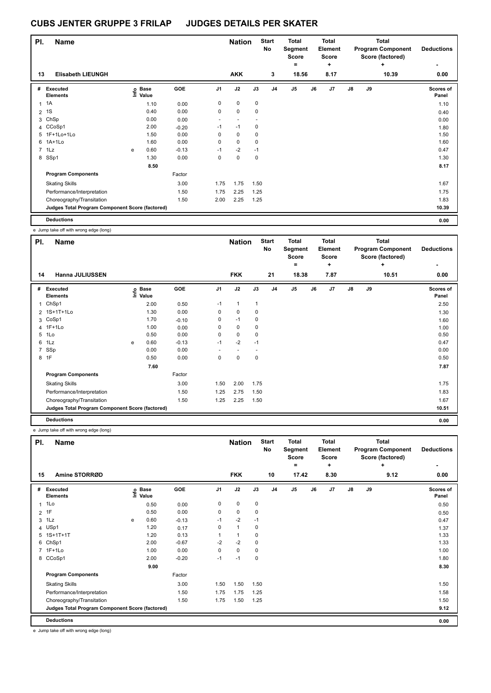| PI.            | <b>Name</b>                                     |   |                            |         |                | <b>Nation</b> |             | <b>Start</b><br><b>No</b> | <b>Total</b><br>Segment<br><b>Score</b> |    | <b>Total</b><br>Element<br><b>Score</b> |               |    | Total<br><b>Program Component</b><br>Score (factored) | <b>Deductions</b>  |
|----------------|-------------------------------------------------|---|----------------------------|---------|----------------|---------------|-------------|---------------------------|-----------------------------------------|----|-----------------------------------------|---------------|----|-------------------------------------------------------|--------------------|
| 13             | <b>Elisabeth LIEUNGH</b>                        |   |                            |         |                | <b>AKK</b>    |             | 3                         | ۰<br>18.56                              |    | ٠<br>8.17                               |               |    | ٠<br>10.39                                            | ۰<br>0.00          |
|                |                                                 |   |                            |         |                |               |             |                           |                                         |    |                                         |               |    |                                                       |                    |
| #              | Executed<br><b>Elements</b>                     |   | e Base<br>E Value<br>Value | GOE     | J <sub>1</sub> | J2            | J3          | J <sub>4</sub>            | J5                                      | J6 | J7                                      | $\mathsf{J}8$ | J9 |                                                       | Scores of<br>Panel |
| 1              | 1A                                              |   | 1.10                       | 0.00    | 0              | $\mathbf 0$   | 0           |                           |                                         |    |                                         |               |    |                                                       | 1.10               |
| $\overline{2}$ | 1S                                              |   | 0.40                       | 0.00    | 0              | $\mathbf 0$   | $\mathbf 0$ |                           |                                         |    |                                         |               |    |                                                       | 0.40               |
| 3              | ChSp                                            |   | 0.00                       | 0.00    |                |               |             |                           |                                         |    |                                         |               |    |                                                       | 0.00               |
|                | 4 CCoSp1                                        |   | 2.00                       | $-0.20$ | $-1$           | $-1$          | 0           |                           |                                         |    |                                         |               |    |                                                       | 1.80               |
|                | 5 1F+1Lo+1Lo                                    |   | 1.50                       | 0.00    | 0              | $\mathbf 0$   | 0           |                           |                                         |    |                                         |               |    |                                                       | 1.50               |
| 6              | $1A+1L0$                                        |   | 1.60                       | 0.00    | 0              | $\mathbf 0$   | $\mathbf 0$ |                           |                                         |    |                                         |               |    |                                                       | 1.60               |
|                | $7$ 1 Lz                                        | e | 0.60                       | $-0.13$ | $-1$           | $-2$          | $-1$        |                           |                                         |    |                                         |               |    |                                                       | 0.47               |
|                | 8 SSp1                                          |   | 1.30                       | 0.00    | 0              | $\mathbf 0$   | $\mathbf 0$ |                           |                                         |    |                                         |               |    |                                                       | 1.30               |
|                |                                                 |   | 8.50                       |         |                |               |             |                           |                                         |    |                                         |               |    |                                                       | 8.17               |
|                | <b>Program Components</b>                       |   |                            | Factor  |                |               |             |                           |                                         |    |                                         |               |    |                                                       |                    |
|                | <b>Skating Skills</b>                           |   |                            | 3.00    | 1.75           | 1.75          | 1.50        |                           |                                         |    |                                         |               |    |                                                       | 1.67               |
|                | Performance/Interpretation                      |   |                            | 1.50    | 1.75           | 2.25          | 1.25        |                           |                                         |    |                                         |               |    |                                                       | 1.75               |
|                | Choreography/Transitation                       |   |                            | 1.50    | 2.00           | 2.25          | 1.25        |                           |                                         |    |                                         |               |    |                                                       | 1.83               |
|                | Judges Total Program Component Score (factored) |   |                            |         |                |               |             |                           |                                         |    |                                         |               |    |                                                       | 10.39              |
|                | <b>Deductions</b>                               |   |                            |         |                |               |             |                           |                                         |    |                                         |               |    |                                                       | 0.00               |

e Jump take off with wrong edge (long)

| PI. | <b>Name</b>                                     |   |                            |         |      | <b>Nation</b>            |      | <b>Start</b><br>No | Total<br>Segment<br><b>Score</b><br>$\equiv$ |    | <b>Total</b><br>Element<br><b>Score</b><br>٠ |               |    | <b>Total</b><br><b>Program Component</b><br>Score (factored)<br>٠ | <b>Deductions</b>  |
|-----|-------------------------------------------------|---|----------------------------|---------|------|--------------------------|------|--------------------|----------------------------------------------|----|----------------------------------------------|---------------|----|-------------------------------------------------------------------|--------------------|
| 14  | <b>Hanna JULIUSSEN</b>                          |   |                            |         |      | <b>FKK</b>               |      | 21                 | 18.38                                        |    | 7.87                                         |               |    | 10.51                                                             | 0.00               |
|     | # Executed<br><b>Elements</b>                   |   | e Base<br>⊑ Value<br>Value | GOE     | J1   | J2                       | J3   | J <sub>4</sub>     | J <sub>5</sub>                               | J6 | J7                                           | $\mathsf{J}8$ | J9 |                                                                   | Scores of<br>Panel |
| 1   | ChSp1                                           |   | 2.00                       | 0.50    | $-1$ | $\mathbf{1}$             | 1    |                    |                                              |    |                                              |               |    |                                                                   | 2.50               |
|     | 2 1S+1T+1Lo                                     |   | 1.30                       | 0.00    | 0    | $\mathbf 0$              | 0    |                    |                                              |    |                                              |               |    |                                                                   | 1.30               |
|     | 3 CoSp1                                         |   | 1.70                       | $-0.10$ | 0    | $-1$                     | 0    |                    |                                              |    |                                              |               |    |                                                                   | 1.60               |
|     | 4 1F+1Lo                                        |   | 1.00                       | 0.00    | 0    | $\mathbf 0$              | 0    |                    |                                              |    |                                              |               |    |                                                                   | 1.00               |
|     | 5 1Lo                                           |   | 0.50                       | 0.00    | 0    | $\pmb{0}$                | 0    |                    |                                              |    |                                              |               |    |                                                                   | 0.50               |
|     | 6 1Lz                                           | e | 0.60                       | $-0.13$ | $-1$ | $-2$                     | $-1$ |                    |                                              |    |                                              |               |    |                                                                   | 0.47               |
|     | 7 SSp                                           |   | 0.00                       | 0.00    |      | $\overline{\phantom{a}}$ |      |                    |                                              |    |                                              |               |    |                                                                   | 0.00               |
|     | 8 1F                                            |   | 0.50                       | 0.00    | 0    | $\pmb{0}$                | 0    |                    |                                              |    |                                              |               |    |                                                                   | 0.50               |
|     |                                                 |   | 7.60                       |         |      |                          |      |                    |                                              |    |                                              |               |    |                                                                   | 7.87               |
|     | <b>Program Components</b>                       |   |                            | Factor  |      |                          |      |                    |                                              |    |                                              |               |    |                                                                   |                    |
|     | <b>Skating Skills</b>                           |   |                            | 3.00    | 1.50 | 2.00                     | 1.75 |                    |                                              |    |                                              |               |    |                                                                   | 1.75               |
|     | Performance/Interpretation                      |   |                            | 1.50    | 1.25 | 2.75                     | 1.50 |                    |                                              |    |                                              |               |    |                                                                   | 1.83               |
|     | Choreography/Transitation                       |   |                            | 1.50    | 1.25 | 2.25                     | 1.50 |                    |                                              |    |                                              |               |    |                                                                   | 1.67               |
|     | Judges Total Program Component Score (factored) |   |                            |         |      |                          |      |                    |                                              |    |                                              |               |    |                                                                   | 10.51              |
|     | <b>Deductions</b>                               |   |                            |         |      |                          |      |                    |                                              |    |                                              |               |    |                                                                   | 0.00               |

e Jump take off with wrong edge (long)

| PI. | <b>Name</b><br>Amine STORRØD                    |   |                            |         |                | <b>Nation</b> |             | <b>Start</b><br>No | Total<br>Segment<br><b>Score</b><br>$=$ |    | <b>Total</b><br>Element<br><b>Score</b><br>٠ |               |    | <b>Total</b><br><b>Program Component</b><br>Score (factored)<br>÷ | <b>Deductions</b>         |
|-----|-------------------------------------------------|---|----------------------------|---------|----------------|---------------|-------------|--------------------|-----------------------------------------|----|----------------------------------------------|---------------|----|-------------------------------------------------------------------|---------------------------|
| 15  |                                                 |   |                            |         |                | <b>FKK</b>    |             | 10                 | 17.42                                   |    | 8.30                                         |               |    | 9.12                                                              | 0.00                      |
| #   | <b>Executed</b><br><b>Elements</b>              |   | e Base<br>E Value<br>Value | GOE     | J <sub>1</sub> | J2            | J3          | J <sub>4</sub>     | J <sub>5</sub>                          | J6 | J7                                           | $\mathsf{J}8$ | J9 |                                                                   | <b>Scores of</b><br>Panel |
|     | 1Lo                                             |   | 0.50                       | 0.00    | 0              | 0             | 0           |                    |                                         |    |                                              |               |    |                                                                   | 0.50                      |
|     | 2 1F                                            |   | 0.50                       | 0.00    | 0              | 0             | 0           |                    |                                         |    |                                              |               |    |                                                                   | 0.50                      |
| 3   | 1Lz                                             | e | 0.60                       | $-0.13$ | $-1$           | $-2$          | $-1$        |                    |                                         |    |                                              |               |    |                                                                   | 0.47                      |
|     | 4 USp1                                          |   | 1.20                       | 0.17    | 0              | $\mathbf{1}$  | $\mathbf 0$ |                    |                                         |    |                                              |               |    |                                                                   | 1.37                      |
|     | 5 1S+1T+1T                                      |   | 1.20                       | 0.13    |                | 1             | 0           |                    |                                         |    |                                              |               |    |                                                                   | 1.33                      |
| 6   | ChSp1                                           |   | 2.00                       | $-0.67$ | $-2$           | $-2$          | $\mathbf 0$ |                    |                                         |    |                                              |               |    |                                                                   | 1.33                      |
|     | 7 1F+1Lo                                        |   | 1.00                       | 0.00    | 0              | 0             | $\mathbf 0$ |                    |                                         |    |                                              |               |    |                                                                   | 1.00                      |
|     | 8 CCoSp1                                        |   | 2.00                       | $-0.20$ | $-1$           | $-1$          | $\mathbf 0$ |                    |                                         |    |                                              |               |    |                                                                   | 1.80                      |
|     |                                                 |   | 9.00                       |         |                |               |             |                    |                                         |    |                                              |               |    |                                                                   | 8.30                      |
|     | <b>Program Components</b>                       |   |                            | Factor  |                |               |             |                    |                                         |    |                                              |               |    |                                                                   |                           |
|     | <b>Skating Skills</b>                           |   |                            | 3.00    | 1.50           | 1.50          | 1.50        |                    |                                         |    |                                              |               |    |                                                                   | 1.50                      |
|     | Performance/Interpretation                      |   |                            | 1.50    | 1.75           | 1.75          | 1.25        |                    |                                         |    |                                              |               |    |                                                                   | 1.58                      |
|     | Choreography/Transitation                       |   |                            | 1.50    | 1.75           | 1.50          | 1.25        |                    |                                         |    |                                              |               |    |                                                                   | 1.50                      |
|     | Judges Total Program Component Score (factored) |   |                            |         |                |               |             |                    |                                         |    |                                              |               |    |                                                                   | 9.12                      |
|     | <b>Deductions</b>                               |   |                            |         |                |               |             |                    |                                         |    |                                              |               |    |                                                                   | 0.00                      |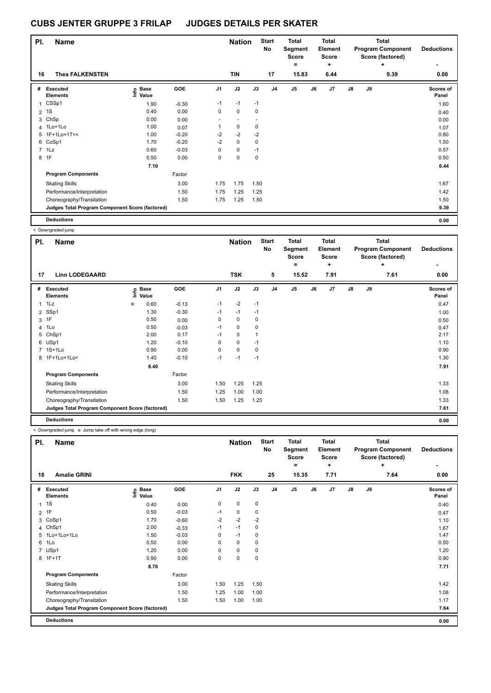| PI.            | <b>Name</b>                                     |                            |         |                | <b>Nation</b> |             | <b>Start</b><br>No | <b>Total</b><br>Segment<br><b>Score</b> |    | <b>Total</b><br>Element<br>Score |               |    | <b>Total</b><br><b>Program Component</b><br>Score (factored) | <b>Deductions</b>         |
|----------------|-------------------------------------------------|----------------------------|---------|----------------|---------------|-------------|--------------------|-----------------------------------------|----|----------------------------------|---------------|----|--------------------------------------------------------------|---------------------------|
| 16             | <b>Thea FALKENSTEN</b>                          |                            |         |                | <b>TIN</b>    |             | 17                 | $\equiv$<br>15.83                       |    | ٠<br>6.44                        |               |    | ٠<br>9.39                                                    | ۰<br>0.00                 |
| #              | Executed<br><b>Elements</b>                     | <b>Base</b><br>١m<br>Value | GOE     | J <sub>1</sub> | J2            | J3          | J4                 | J5                                      | J6 | J7                               | $\mathsf{J}8$ | J9 |                                                              | <b>Scores of</b><br>Panel |
| $\mathbf{1}$   | CSSp1                                           | 1.90                       | $-0.30$ | $-1$           | $-1$          | $-1$        |                    |                                         |    |                                  |               |    |                                                              | 1.60                      |
| $\overline{2}$ | 1S                                              | 0.40                       | 0.00    | 0              | $\mathbf 0$   | $\mathbf 0$ |                    |                                         |    |                                  |               |    |                                                              | 0.40                      |
| 3              | ChSp                                            | 0.00                       | 0.00    |                |               |             |                    |                                         |    |                                  |               |    |                                                              | 0.00                      |
| $\overline{4}$ | 1Lo+1Lo                                         | 1.00                       | 0.07    | 1              | 0             | 0           |                    |                                         |    |                                  |               |    |                                                              | 1.07                      |
|                | 5 1F+1Lo+1T<<                                   | 1.00                       | $-0.20$ | $-2$           | $-2$          | $-2$        |                    |                                         |    |                                  |               |    |                                                              | 0.80                      |
|                | 6 CoSp1                                         | 1.70                       | $-0.20$ | $-2$           | $\mathbf 0$   | 0           |                    |                                         |    |                                  |               |    |                                                              | 1.50                      |
|                | $7$ 1 Lz                                        | 0.60                       | $-0.03$ | 0              | 0             | $-1$        |                    |                                         |    |                                  |               |    |                                                              | 0.57                      |
| 8              | 1F                                              | 0.50                       | 0.00    | 0              | $\mathbf 0$   | 0           |                    |                                         |    |                                  |               |    |                                                              | 0.50                      |
|                |                                                 | 7.10                       |         |                |               |             |                    |                                         |    |                                  |               |    |                                                              | 6.44                      |
|                | <b>Program Components</b>                       |                            | Factor  |                |               |             |                    |                                         |    |                                  |               |    |                                                              |                           |
|                | <b>Skating Skills</b>                           |                            | 3.00    | 1.75           | 1.75          | 1.50        |                    |                                         |    |                                  |               |    |                                                              | 1.67                      |
|                | Performance/Interpretation                      |                            | 1.50    | 1.75           | 1.25          | 1.25        |                    |                                         |    |                                  |               |    |                                                              | 1.42                      |
|                | Choreography/Transitation                       |                            | 1.50    | 1.75           | 1.25          | 1.50        |                    |                                         |    |                                  |               |    |                                                              | 1.50                      |
|                | Judges Total Program Component Score (factored) |                            |         |                |               |             |                    |                                         |    |                                  |               |    |                                                              | 9.39                      |
|                | <b>Deductions</b>                               |                            |         |                |               |             |                    |                                         |    |                                  |               |    |                                                              | 0.00                      |

|                | < Downgraded jump                               |   |                   |         |                |               |      |                    |                                   |         |                                              |               |    |                                                                   |                        |
|----------------|-------------------------------------------------|---|-------------------|---------|----------------|---------------|------|--------------------|-----------------------------------|---------|----------------------------------------------|---------------|----|-------------------------------------------------------------------|------------------------|
| PI.            | <b>Name</b>                                     |   |                   |         |                | <b>Nation</b> |      | <b>Start</b><br>No | <b>Total</b><br><b>Score</b><br>= | Segment | <b>Total</b><br>Element<br><b>Score</b><br>÷ |               |    | <b>Total</b><br><b>Program Component</b><br>Score (factored)<br>÷ | <b>Deductions</b><br>٠ |
| 17             | <b>Linn LODEGAARD</b>                           |   |                   |         |                | <b>TSK</b>    |      | 5                  |                                   | 15.52   | 7.91                                         |               |    | 7.61                                                              | 0.00                   |
| #              | Executed<br><b>Elements</b>                     |   | e Base<br>⊑ Value | GOE     | J <sub>1</sub> | J2            | J3   | J <sub>4</sub>     | J <sub>5</sub>                    | J6      | J7                                           | $\mathsf{J}8$ | J9 |                                                                   | Scores of<br>Panel     |
| 1              | 1Lz                                             | е | 0.60              | $-0.13$ | $-1$           | $-2$          | $-1$ |                    |                                   |         |                                              |               |    |                                                                   | 0.47                   |
|                | 2 SSp1                                          |   | 1.30              | $-0.30$ | $-1$           | $-1$          | $-1$ |                    |                                   |         |                                              |               |    |                                                                   | 1.00                   |
|                | 3 1F                                            |   | 0.50              | 0.00    | 0              | 0             | 0    |                    |                                   |         |                                              |               |    |                                                                   | 0.50                   |
| $\overline{4}$ | 1Lo                                             |   | 0.50              | $-0.03$ | $-1$           | 0             | 0    |                    |                                   |         |                                              |               |    |                                                                   | 0.47                   |
| 5              | ChSp1                                           |   | 2.00              | 0.17    | $-1$           | 0             |      |                    |                                   |         |                                              |               |    |                                                                   | 2.17                   |
| 6              | USp1                                            |   | 1.20              | $-0.10$ | 0              | $\mathbf 0$   | $-1$ |                    |                                   |         |                                              |               |    |                                                                   | 1.10                   |
|                | 7 1S+1Lo                                        |   | 0.90              | 0.00    | 0              | $\mathbf 0$   | 0    |                    |                                   |         |                                              |               |    |                                                                   | 0.90                   |
|                | 8 1F+1Lo+1Lo<                                   |   | 1.40              | $-0.10$ | $-1$           | $-1$          | $-1$ |                    |                                   |         |                                              |               |    |                                                                   | 1.30                   |
|                |                                                 |   | 8.40              |         |                |               |      |                    |                                   |         |                                              |               |    |                                                                   | 7.91                   |
|                | <b>Program Components</b>                       |   |                   | Factor  |                |               |      |                    |                                   |         |                                              |               |    |                                                                   |                        |
|                | <b>Skating Skills</b>                           |   |                   | 3.00    | 1.50           | 1.25          | 1.25 |                    |                                   |         |                                              |               |    |                                                                   | 1.33                   |
|                | Performance/Interpretation                      |   |                   | 1.50    | 1.25           | 1.00          | 1.00 |                    |                                   |         |                                              |               |    |                                                                   | 1.08                   |
|                | Choreography/Transitation                       |   |                   | 1.50    | 1.50           | 1.25          | 1.25 |                    |                                   |         |                                              |               |    |                                                                   | 1.33                   |
|                | Judges Total Program Component Score (factored) |   |                   |         |                |               |      |                    |                                   |         |                                              |               |    |                                                                   | 7.61                   |
|                | <b>Deductions</b>                               |   |                   |         |                |               |      |                    |                                   |         |                                              |               |    |                                                                   | 0.00                   |

|                | < Downgraded jump e Jump take off with wrong edge (long) |                            |            |                |               |             |                           |                                              |    |                                              |               |    |                                                                   |                    |
|----------------|----------------------------------------------------------|----------------------------|------------|----------------|---------------|-------------|---------------------------|----------------------------------------------|----|----------------------------------------------|---------------|----|-------------------------------------------------------------------|--------------------|
| PI.            | <b>Name</b>                                              |                            |            |                | <b>Nation</b> |             | <b>Start</b><br><b>No</b> | <b>Total</b><br>Segment<br><b>Score</b><br>۰ |    | <b>Total</b><br>Element<br><b>Score</b><br>÷ |               |    | <b>Total</b><br><b>Program Component</b><br>Score (factored)<br>÷ | <b>Deductions</b>  |
| 18             | <b>Amalie GRINI</b>                                      |                            |            |                | <b>FKK</b>    |             | 25                        | 15.35                                        |    | 7.71                                         |               |    | 7.64                                                              | 0.00               |
| #              | Executed<br><b>Elements</b>                              | e Base<br>E Value<br>Value | <b>GOE</b> | J <sub>1</sub> | J2            | J3          | J <sub>4</sub>            | J5                                           | J6 | J7                                           | $\mathsf{J}8$ | J9 |                                                                   | Scores of<br>Panel |
| 1              | 1S                                                       | 0.40                       | 0.00       | $\mathbf 0$    | $\mathbf 0$   | $\mathbf 0$ |                           |                                              |    |                                              |               |    |                                                                   | 0.40               |
| $\overline{2}$ | 1F                                                       | 0.50                       | $-0.03$    | $-1$           | 0             | 0           |                           |                                              |    |                                              |               |    |                                                                   | 0.47               |
| 3              | CoSp1                                                    | 1.70                       | $-0.60$    | $-2$           | $-2$          | $-2$        |                           |                                              |    |                                              |               |    |                                                                   | 1.10               |
| 4              | ChSp1                                                    | 2.00                       | $-0.33$    | $-1$           | $-1$          | 0           |                           |                                              |    |                                              |               |    |                                                                   | 1.67               |
|                | 5 1Lo+1Lo+1Lo                                            | 1.50                       | $-0.03$    | 0              | $-1$          | $\mathbf 0$ |                           |                                              |    |                                              |               |    |                                                                   | 1.47               |
| 6              | 1Lo                                                      | 0.50                       | 0.00       | $\Omega$       | 0             | 0           |                           |                                              |    |                                              |               |    |                                                                   | 0.50               |
| $\overline{7}$ | USp1                                                     | 1.20                       | 0.00       | 0              | $\mathbf 0$   | 0           |                           |                                              |    |                                              |               |    |                                                                   | 1.20               |
|                | 8 1F+1T                                                  | 0.90                       | 0.00       | 0              | $\mathbf 0$   | $\mathbf 0$ |                           |                                              |    |                                              |               |    |                                                                   | 0.90               |
|                |                                                          | 8.70                       |            |                |               |             |                           |                                              |    |                                              |               |    |                                                                   | 7.71               |
|                | <b>Program Components</b>                                |                            | Factor     |                |               |             |                           |                                              |    |                                              |               |    |                                                                   |                    |
|                | <b>Skating Skills</b>                                    |                            | 3.00       | 1.50           | 1.25          | 1.50        |                           |                                              |    |                                              |               |    |                                                                   | 1.42               |
|                | Performance/Interpretation                               |                            | 1.50       | 1.25           | 1.00          | 1.00        |                           |                                              |    |                                              |               |    |                                                                   | 1.08               |
|                | Choreography/Transitation                                |                            | 1.50       | 1.50           | 1.00          | 1.00        |                           |                                              |    |                                              |               |    |                                                                   | 1.17               |
|                | Judges Total Program Component Score (factored)          |                            |            |                |               |             |                           |                                              |    |                                              |               |    |                                                                   | 7.64               |
|                | <b>Deductions</b>                                        |                            |            |                |               |             |                           |                                              |    |                                              |               |    |                                                                   | 0.00               |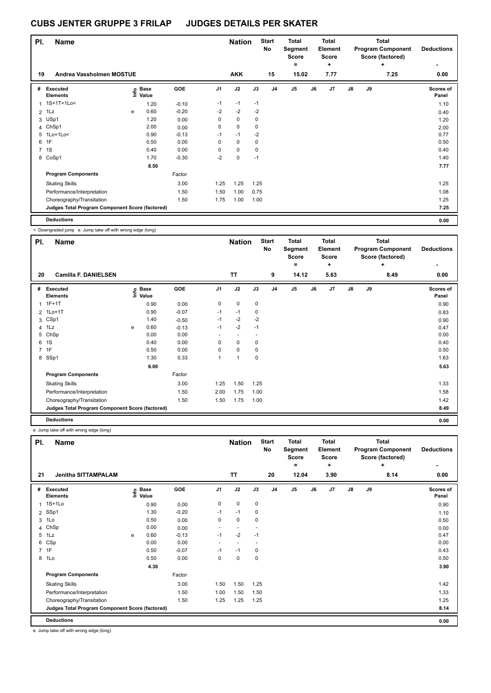| PI.            | <b>Name</b>                                     |   |                            |         |                | <b>Nation</b> |      | <b>Start</b><br>No | <b>Total</b><br>Segment<br><b>Score</b> |    | <b>Total</b><br><b>Element</b><br><b>Score</b> |    |    | Total<br><b>Program Component</b><br>Score (factored) | <b>Deductions</b>         |
|----------------|-------------------------------------------------|---|----------------------------|---------|----------------|---------------|------|--------------------|-----------------------------------------|----|------------------------------------------------|----|----|-------------------------------------------------------|---------------------------|
| 19             | Andrea Vassholmen MOSTUE                        |   |                            |         |                | <b>AKK</b>    |      | 15                 | $\equiv$<br>15.02                       |    | ٠<br>7.77                                      |    |    | ٠<br>7.25                                             | ٠<br>0.00                 |
| #              | Executed<br><b>Elements</b>                     |   | e Base<br>E Value<br>Value | GOE     | J <sub>1</sub> | J2            | J3   | J4                 | J5                                      | J6 | J7                                             | J8 | J9 |                                                       | <b>Scores of</b><br>Panel |
| 1              | 1S+1T+1Lo<                                      |   | 1.20                       | $-0.10$ | $-1$           | $-1$          | $-1$ |                    |                                         |    |                                                |    |    |                                                       | 1.10                      |
| 2              | 1Lz                                             | e | 0.60                       | $-0.20$ | $-2$           | $-2$          | $-2$ |                    |                                         |    |                                                |    |    |                                                       | 0.40                      |
| 3              | USp1                                            |   | 1.20                       | 0.00    | 0              | 0             | 0    |                    |                                         |    |                                                |    |    |                                                       | 1.20                      |
|                | 4 ChSp1                                         |   | 2.00                       | 0.00    | 0              | 0             | 0    |                    |                                         |    |                                                |    |    |                                                       | 2.00                      |
|                | 5 1Lo+1Lo<                                      |   | 0.90                       | $-0.13$ | $-1$           | $-1$          | $-2$ |                    |                                         |    |                                                |    |    |                                                       | 0.77                      |
| 6              | 1F                                              |   | 0.50                       | 0.00    | 0              | $\mathbf 0$   | 0    |                    |                                         |    |                                                |    |    |                                                       | 0.50                      |
| $\overline{7}$ | 1S                                              |   | 0.40                       | 0.00    | 0              | 0             | 0    |                    |                                         |    |                                                |    |    |                                                       | 0.40                      |
|                | 8 CoSp1                                         |   | 1.70                       | $-0.30$ | $-2$           | $\mathbf 0$   | $-1$ |                    |                                         |    |                                                |    |    |                                                       | 1.40                      |
|                |                                                 |   | 8.50                       |         |                |               |      |                    |                                         |    |                                                |    |    |                                                       | 7.77                      |
|                | <b>Program Components</b>                       |   |                            | Factor  |                |               |      |                    |                                         |    |                                                |    |    |                                                       |                           |
|                | <b>Skating Skills</b>                           |   |                            | 3.00    | 1.25           | 1.25          | 1.25 |                    |                                         |    |                                                |    |    |                                                       | 1.25                      |
|                | Performance/Interpretation                      |   |                            | 1.50    | 1.50           | 1.00          | 0.75 |                    |                                         |    |                                                |    |    |                                                       | 1.08                      |
|                | Choreography/Transitation                       |   |                            | 1.50    | 1.75           | 1.00          | 1.00 |                    |                                         |    |                                                |    |    |                                                       | 1.25                      |
|                | Judges Total Program Component Score (factored) |   |                            |         |                |               |      |                    |                                         |    |                                                |    |    |                                                       | 7.25                      |
|                | <b>Deductions</b>                               |   |                            |         |                |               |      |                    |                                         |    |                                                |    |    |                                                       | 0.00                      |

< Downgraded jump e Jump take off with wrong edge (long)

| PI. | <b>Name</b>                                     |   |                            |         |                | <b>Nation</b>            |             | <b>Start</b><br>No | <b>Total</b><br>Segment<br><b>Score</b><br>= |    | <b>Total</b><br>Element<br><b>Score</b><br>٠ |               |    | Total<br><b>Program Component</b><br>Score (factored)<br>٠ | <b>Deductions</b>  |
|-----|-------------------------------------------------|---|----------------------------|---------|----------------|--------------------------|-------------|--------------------|----------------------------------------------|----|----------------------------------------------|---------------|----|------------------------------------------------------------|--------------------|
| 20  | <b>Camilla F. DANIELSEN</b>                     |   |                            |         |                | <b>TT</b>                |             | 9                  | 14.12                                        |    | 5.63                                         |               |    | 8.49                                                       | 0.00               |
| #   | Executed<br><b>Elements</b>                     |   | e Base<br>⊑ Value<br>Value | GOE     | J <sub>1</sub> | J2                       | J3          | J <sub>4</sub>     | J5                                           | J6 | J <sub>7</sub>                               | $\mathsf{J}8$ | J9 |                                                            | Scores of<br>Panel |
|     | $1.1F+1T$                                       |   | 0.90                       | 0.00    | 0              | $\mathbf 0$              | $\mathbf 0$ |                    |                                              |    |                                              |               |    |                                                            | 0.90               |
|     | 2 1Lo+1T                                        |   | 0.90                       | $-0.07$ | $-1$           | $-1$                     | 0           |                    |                                              |    |                                              |               |    |                                                            | 0.83               |
|     | 3 CSp1                                          |   | 1.40                       | $-0.50$ | $-1$           | $-2$                     | $-2$        |                    |                                              |    |                                              |               |    |                                                            | 0.90               |
|     | 4 1Lz                                           | e | 0.60                       | $-0.13$ | $-1$           | $-2$                     | $-1$        |                    |                                              |    |                                              |               |    |                                                            | 0.47               |
| 5   | ChSp                                            |   | 0.00                       | 0.00    | ٠              | $\overline{\phantom{a}}$ |             |                    |                                              |    |                                              |               |    |                                                            | 0.00               |
|     | 6 1S                                            |   | 0.40                       | 0.00    | 0              | $\mathbf 0$              | 0           |                    |                                              |    |                                              |               |    |                                                            | 0.40               |
|     | 7 1F                                            |   | 0.50                       | 0.00    | 0              | $\mathbf 0$              | 0           |                    |                                              |    |                                              |               |    |                                                            | 0.50               |
|     | 8 SSp1                                          |   | 1.30                       | 0.33    |                | $\overline{1}$           | 0           |                    |                                              |    |                                              |               |    |                                                            | 1.63               |
|     |                                                 |   | 6.00                       |         |                |                          |             |                    |                                              |    |                                              |               |    |                                                            | 5.63               |
|     | <b>Program Components</b>                       |   |                            | Factor  |                |                          |             |                    |                                              |    |                                              |               |    |                                                            |                    |
|     | <b>Skating Skills</b>                           |   |                            | 3.00    | 1.25           | 1.50                     | 1.25        |                    |                                              |    |                                              |               |    |                                                            | 1.33               |
|     | Performance/Interpretation                      |   |                            | 1.50    | 2.00           | 1.75                     | 1.00        |                    |                                              |    |                                              |               |    |                                                            | 1.58               |
|     | Choreography/Transitation                       |   |                            | 1.50    | 1.50           | 1.75                     | 1.00        |                    |                                              |    |                                              |               |    |                                                            | 1.42               |
|     | Judges Total Program Component Score (factored) |   |                            |         |                |                          |             |                    |                                              |    |                                              |               |    |                                                            | 8.49               |
|     | <b>Deductions</b>                               |   |                            |         |                |                          |             |                    |                                              |    |                                              |               |    |                                                            | 0.00               |

e Jump take off with wrong edge (long)

**Name Deductions - Nation Total Pl. Start Segment Score = Total Element Score + Total Program Component Score (factored) + No # Executed Elements Base Value GOE J1 J2 J3 J4 J5 J6 J7 J8 J9 Scores of Panel** <sup>1</sup> 1S+1Lo 0.90 0.00 <sup>0</sup> <sup>0</sup> 0 0.90 **Info 21 Jenitha SITTAMPALAM TT 20 12.04 3.90 8.14 0.00** 2 SSp1 1.30 -0.20 -1 -1 0 1.10  $3\,$  1Lo  $3\,$  0.50  $3\,$  0.00  $0\,$  0  $0\,$  0  $0\,$  0  $0\,$  0  $0\,$  0  $0\,$  0.50  $0.50\,$ 4 ChSp 0.00 0.00 - - - 0.00 5 1Lz e 0.60 -0.13 -1 -2 -1 0.47 6 CSp 0.00 0.00 - - - 0.00 7 1F 0.50 -0.07 -1 -1 0 0.43 8 1Lo 0.50 0.00 0 0 0 0.50  **4.30 3.90 Program Components**  Skating Skills 1.50 1.50 1.25 3.00 1.42 Factor Performance/Interpretation 1.50 1.00 1.50 1.50 1.33 Choreography/Transitation 1.50 1.25 1.25 1.25 1.25 **Deductions 0.00 Judges Total Program Component Score (factored) 8.14**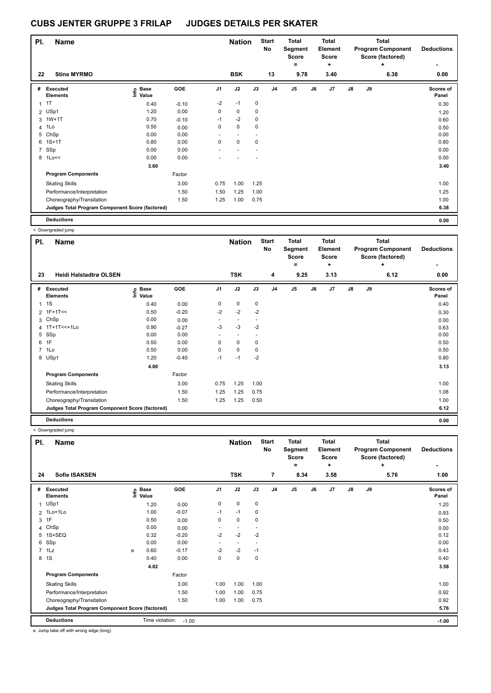| PI.            | <b>Name</b>                                     |                            |         |                | <b>Nation</b> |             | <b>Start</b><br>No | <b>Total</b><br>Segment<br><b>Score</b> |    | <b>Total</b><br>Element<br>Score |               |    | Total<br><b>Program Component</b><br>Score (factored) | <b>Deductions</b>  |
|----------------|-------------------------------------------------|----------------------------|---------|----------------|---------------|-------------|--------------------|-----------------------------------------|----|----------------------------------|---------------|----|-------------------------------------------------------|--------------------|
| 22             | <b>Stine MYRMO</b>                              |                            |         |                | <b>BSK</b>    |             | 13                 | ۰<br>9.78                               |    | ٠<br>3.40                        |               |    | ٠<br>6.38                                             | ۰<br>0.00          |
| #              | Executed<br><b>Elements</b>                     | e Base<br>E Value<br>Value | GOE     | J <sub>1</sub> | J2            | J3          | J4                 | J5                                      | J6 | J7                               | $\mathsf{J}8$ | J9 |                                                       | Scores of<br>Panel |
| $\mathbf{1}$   | 1T                                              | 0.40                       | $-0.10$ | $-2$           | $-1$          | 0           |                    |                                         |    |                                  |               |    |                                                       | 0.30               |
| $\overline{2}$ | USp1                                            | 1.20                       | 0.00    | 0              | $\mathbf 0$   | $\mathbf 0$ |                    |                                         |    |                                  |               |    |                                                       | 1.20               |
| 3              | $1W+1T$                                         | 0.70                       | $-0.10$ | $-1$           | $-2$          | $\mathbf 0$ |                    |                                         |    |                                  |               |    |                                                       | 0.60               |
|                | 4 1Lo                                           | 0.50                       | 0.00    | 0              | $\mathbf 0$   | 0           |                    |                                         |    |                                  |               |    |                                                       | 0.50               |
| 5              | ChSp                                            | 0.00                       | 0.00    |                |               |             |                    |                                         |    |                                  |               |    |                                                       | 0.00               |
| 6              | $1S+1T$                                         | 0.80                       | 0.00    | 0              | $\mathbf 0$   | $\mathbf 0$ |                    |                                         |    |                                  |               |    |                                                       | 0.80               |
| $\overline{7}$ | SSp                                             | 0.00                       | 0.00    |                |               |             |                    |                                         |    |                                  |               |    |                                                       | 0.00               |
|                | 8 1Lo<<                                         | 0.00                       | 0.00    |                |               |             |                    |                                         |    |                                  |               |    |                                                       | 0.00               |
|                |                                                 | 3.60                       |         |                |               |             |                    |                                         |    |                                  |               |    |                                                       | 3.40               |
|                | <b>Program Components</b>                       |                            | Factor  |                |               |             |                    |                                         |    |                                  |               |    |                                                       |                    |
|                | <b>Skating Skills</b>                           |                            | 3.00    | 0.75           | 1.00          | 1.25        |                    |                                         |    |                                  |               |    |                                                       | 1.00               |
|                | Performance/Interpretation                      |                            | 1.50    | 1.50           | 1.25          | 1.00        |                    |                                         |    |                                  |               |    |                                                       | 1.25               |
|                | Choreography/Transitation                       |                            | 1.50    | 1.25           | 1.00          | 0.75        |                    |                                         |    |                                  |               |    |                                                       | 1.00               |
|                | Judges Total Program Component Score (factored) |                            |         |                |               |             |                    |                                         |    |                                  |               |    |                                                       | 6.38               |
|                | <b>Deductions</b>                               |                            |         |                |               |             |                    |                                         |    |                                  |               |    |                                                       | 0.00               |

|              | < Downgraded jump                               |                            |            |                |                          |           |                    |                                              |    |                                              |    |    |                                                                   |                    |
|--------------|-------------------------------------------------|----------------------------|------------|----------------|--------------------------|-----------|--------------------|----------------------------------------------|----|----------------------------------------------|----|----|-------------------------------------------------------------------|--------------------|
| PI.          | <b>Name</b>                                     |                            |            |                | <b>Nation</b>            |           | <b>Start</b><br>No | <b>Total</b><br>Segment<br><b>Score</b><br>۰ |    | <b>Total</b><br>Element<br><b>Score</b><br>÷ |    |    | <b>Total</b><br><b>Program Component</b><br>Score (factored)<br>÷ | <b>Deductions</b>  |
| 23           | <b>Heidi Halstadtrø OLSEN</b>                   |                            |            |                | <b>TSK</b>               |           | 4                  | 9.25                                         |    | 3.13                                         |    |    | 6.12                                                              | 0.00               |
| #            | Executed<br><b>Elements</b>                     | e Base<br>⊆ Value<br>Value | <b>GOE</b> | J <sub>1</sub> | J2                       | J3        | J <sub>4</sub>     | J <sub>5</sub>                               | J6 | J7                                           | J8 | J9 |                                                                   | Scores of<br>Panel |
| $\mathbf{1}$ | 1S                                              | 0.40                       | 0.00       | 0              | $\mathbf 0$              | $\pmb{0}$ |                    |                                              |    |                                              |    |    |                                                                   | 0.40               |
|              | 2 1F+1T<<                                       | 0.50                       | $-0.20$    | $-2$           | $-2$                     | $-2$      |                    |                                              |    |                                              |    |    |                                                                   | 0.30               |
| 3            | ChSp                                            | 0.00                       | 0.00       | ٠              | $\overline{\phantom{a}}$ |           |                    |                                              |    |                                              |    |    |                                                                   | 0.00               |
|              | 4 1T+1T<<+1Lo                                   | 0.90                       | $-0.27$    | $-3$           | $-3$                     | $-2$      |                    |                                              |    |                                              |    |    |                                                                   | 0.63               |
| 5            | SSp                                             | 0.00                       | 0.00       | ٠              |                          |           |                    |                                              |    |                                              |    |    |                                                                   | 0.00               |
|              | 6 1F                                            | 0.50                       | 0.00       | 0              | 0                        | 0         |                    |                                              |    |                                              |    |    |                                                                   | 0.50               |
|              | 7 1Lo                                           | 0.50                       | 0.00       | 0              | $\mathbf 0$              | 0         |                    |                                              |    |                                              |    |    |                                                                   | 0.50               |
|              | 8 USp1                                          | 1.20                       | $-0.40$    | $-1$           | $-1$                     | $-2$      |                    |                                              |    |                                              |    |    |                                                                   | 0.80               |
|              |                                                 | 4.00                       |            |                |                          |           |                    |                                              |    |                                              |    |    |                                                                   | 3.13               |
|              | <b>Program Components</b>                       |                            | Factor     |                |                          |           |                    |                                              |    |                                              |    |    |                                                                   |                    |
|              | <b>Skating Skills</b>                           |                            | 3.00       | 0.75           | 1.25                     | 1.00      |                    |                                              |    |                                              |    |    |                                                                   | 1.00               |
|              | Performance/Interpretation                      |                            | 1.50       | 1.25           | 1.25                     | 0.75      |                    |                                              |    |                                              |    |    |                                                                   | 1.08               |
|              | Choreography/Transitation                       |                            | 1.50       | 1.25           | 1.25                     | 0.50      |                    |                                              |    |                                              |    |    |                                                                   | 1.00               |
|              | Judges Total Program Component Score (factored) |                            |            |                |                          |           |                    |                                              |    |                                              |    |    |                                                                   | 6.12               |
|              | <b>Deductions</b>                               |                            |            |                |                          |           |                    |                                              |    |                                              |    |    |                                                                   | 0.00               |

< Downgraded jump

| PI.            | Name                                            |      |                      |         |                | <b>Nation</b>            |      | <b>Start</b><br>No | <b>Total</b><br>Segment<br><b>Score</b><br>۰ |    | <b>Total</b><br><b>Element</b><br>Score<br>٠ |               |    | <b>Total</b><br><b>Program Component</b><br>Score (factored)<br>÷ | <b>Deductions</b><br>۰    |
|----------------|-------------------------------------------------|------|----------------------|---------|----------------|--------------------------|------|--------------------|----------------------------------------------|----|----------------------------------------------|---------------|----|-------------------------------------------------------------------|---------------------------|
| 24             | <b>Sofie ISAKSEN</b>                            |      |                      |         |                | <b>TSK</b>               |      | $\overline{7}$     | 8.34                                         |    | 3.58                                         |               |    | 5.76                                                              | 1.00                      |
| #              | Executed<br><b>Elements</b>                     | ١nf٥ | <b>Base</b><br>Value | GOE     | J <sub>1</sub> | J2                       | J3   | J <sub>4</sub>     | J <sub>5</sub>                               | J6 | J7                                           | $\mathsf{J}8$ | J9 |                                                                   | <b>Scores of</b><br>Panel |
| 1              | USp1                                            |      | 1.20                 | 0.00    | 0              | $\mathbf 0$              | 0    |                    |                                              |    |                                              |               |    |                                                                   | 1.20                      |
| $\overline{2}$ | 1Lo+1Lo                                         |      | 1.00                 | $-0.07$ | $-1$           | $-1$                     | 0    |                    |                                              |    |                                              |               |    |                                                                   | 0.93                      |
| 3              | 1F                                              |      | 0.50                 | 0.00    | 0              | $\mathbf 0$              | 0    |                    |                                              |    |                                              |               |    |                                                                   | 0.50                      |
| 4              | ChSp                                            |      | 0.00                 | 0.00    |                | $\overline{\phantom{a}}$ |      |                    |                                              |    |                                              |               |    |                                                                   | 0.00                      |
| 5              | 1S+SEQ                                          |      | 0.32                 | $-0.20$ | $-2$           | $-2$                     | $-2$ |                    |                                              |    |                                              |               |    |                                                                   | 0.12                      |
| 6              | SSp                                             |      | 0.00                 | 0.00    |                |                          |      |                    |                                              |    |                                              |               |    |                                                                   | 0.00                      |
|                | $7$ 1 Lz                                        | e    | 0.60                 | $-0.17$ | $-2$           | $-2$                     | $-1$ |                    |                                              |    |                                              |               |    |                                                                   | 0.43                      |
| 8              | 1S                                              |      | 0.40                 | 0.00    | 0              | $\mathbf 0$              | 0    |                    |                                              |    |                                              |               |    |                                                                   | 0.40                      |
|                |                                                 |      | 4.02                 |         |                |                          |      |                    |                                              |    |                                              |               |    |                                                                   | 3.58                      |
|                | <b>Program Components</b>                       |      |                      | Factor  |                |                          |      |                    |                                              |    |                                              |               |    |                                                                   |                           |
|                | <b>Skating Skills</b>                           |      |                      | 3.00    | 1.00           | 1.00                     | 1.00 |                    |                                              |    |                                              |               |    |                                                                   | 1.00                      |
|                | Performance/Interpretation                      |      |                      | 1.50    | 1.00           | 1.00                     | 0.75 |                    |                                              |    |                                              |               |    |                                                                   | 0.92                      |
|                | Choreography/Transitation                       |      |                      | 1.50    | 1.00           | 1.00                     | 0.75 |                    |                                              |    |                                              |               |    |                                                                   | 0.92                      |
|                | Judges Total Program Component Score (factored) |      |                      |         |                |                          |      |                    |                                              |    |                                              |               |    |                                                                   | 5.76                      |
|                | <b>Deductions</b>                               |      | Time violation:      | $-1.00$ |                |                          |      |                    |                                              |    |                                              |               |    |                                                                   | $-1.00$                   |
|                | o lump toke off with wrong adop (long)          |      |                      |         |                |                          |      |                    |                                              |    |                                              |               |    |                                                                   |                           |